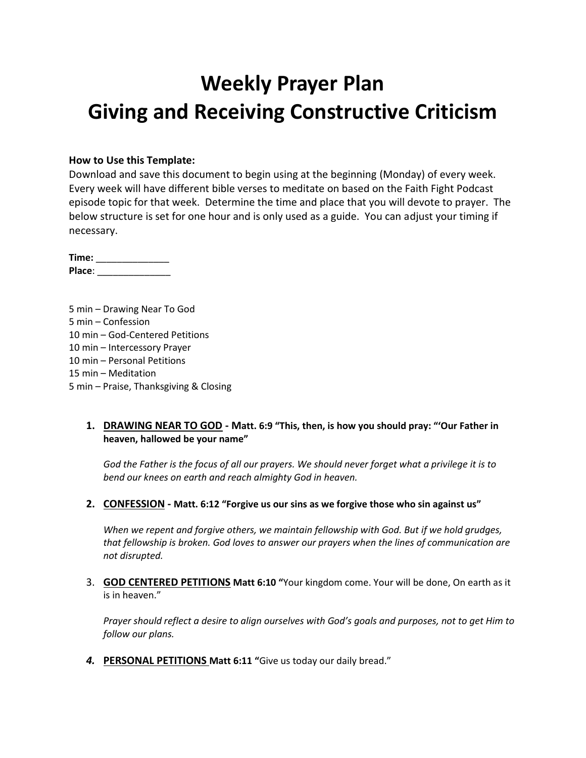# **Weekly Prayer Plan Giving and Receiving Constructive Criticism**

#### **How to Use this Template:**

Download and save this document to begin using at the beginning (Monday) of every week. Every week will have different bible verses to meditate on based on the Faith Fight Podcast episode topic for that week. Determine the time and place that you will devote to prayer. The below structure is set for one hour and is only used as a guide. You can adjust your timing if necessary.

**Time:** \_\_\_\_\_\_\_\_\_\_\_\_\_\_ **Place**: \_\_\_\_\_\_\_\_\_\_\_\_\_\_

5 min – Drawing Near To God 5 min – Confession 10 min – God-Centered Petitions 10 min – Intercessory Prayer 10 min – Personal Petitions 15 min – Meditation 5 min – Praise, Thanksgiving & Closing

### **1. DRAWING NEAR TO GOD - Matt. 6:9 "This, then, is how you should pray: "'Our Father in heaven, hallowed be your name"**

*God the Father is the focus of all our prayers. We should never forget what a privilege it is to bend our knees on earth and reach almighty God in heaven.*

**2. CONFESSION - Matt. 6:12 "Forgive us our sins as we forgive those who sin against us"**

*When we repent and forgive others, we maintain fellowship with God. But if we hold grudges, that fellowship is broken. God loves to answer our prayers when the lines of communication are not disrupted.*

3. **GOD CENTERED PETITIONS Matt 6:10 "**Your kingdom come. Your will be done, On earth as it is in heaven."

*Prayer should reflect a desire to align ourselves with God's goals and purposes, not to get Him to follow our plans.*

*4.* **PERSONAL PETITIONS Matt 6:11 "**Give us today our daily bread."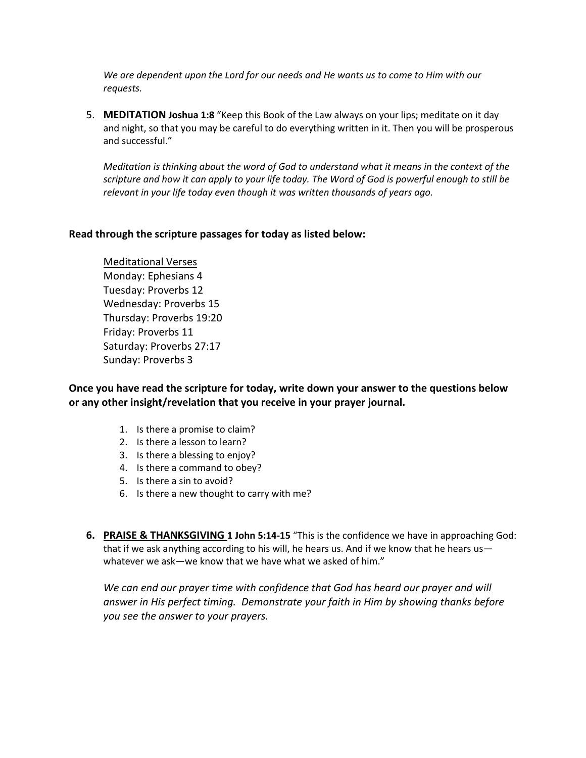*We are dependent upon the Lord for our needs and He wants us to come to Him with our requests.*

5. **MEDITATION Joshua 1:8** "Keep this Book of the Law always on your lips; meditate on it day and night, so that you may be careful to do everything written in it. Then you will be prosperous and successful."

*Meditation is thinking about the word of God to understand what it means in the context of the scripture and how it can apply to your life today. The Word of God is powerful enough to still be relevant in your life today even though it was written thousands of years ago.*

### **Read through the scripture passages for today as listed below:**

Meditational Verses Monday: Ephesians 4 Tuesday: Proverbs 12 Wednesday: Proverbs 15 Thursday: Proverbs 19:20 Friday: Proverbs 11 Saturday: Proverbs 27:17 Sunday: Proverbs 3

**Once you have read the scripture for today, write down your answer to the questions below or any other insight/revelation that you receive in your prayer journal.** 

- 1. Is there a promise to claim?
- 2. Is there a lesson to learn?
- 3. Is there a blessing to enjoy?
- 4. Is there a command to obey?
- 5. Is there a sin to avoid?
- 6. Is there a new thought to carry with me?
- **6. PRAISE & THANKSGIVING 1 John 5:14-15** "This is the confidence we have in approaching God: that if we ask anything according to his will, he hears us. And if we know that he hears us whatever we ask—we know that we have what we asked of him."

We can end our prayer time with confidence that God has heard our prayer and will *answer in His perfect timing. Demonstrate your faith in Him by showing thanks before you see the answer to your prayers.*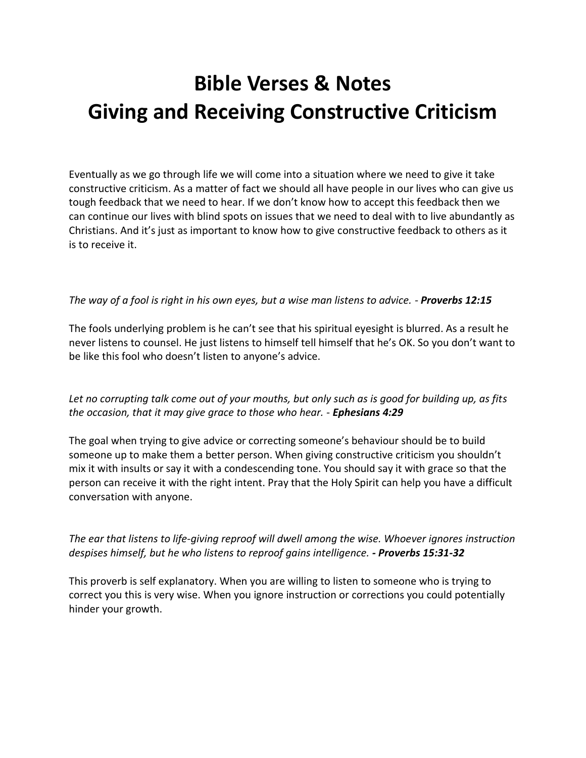# **Bible Verses & Notes Giving and Receiving Constructive Criticism**

Eventually as we go through life we will come into a situation where we need to give it take constructive criticism. As a matter of fact we should all have people in our lives who can give us tough feedback that we need to hear. If we don't know how to accept this feedback then we can continue our lives with blind spots on issues that we need to deal with to live abundantly as Christians. And it's just as important to know how to give constructive feedback to others as it is to receive it.

## *The way of a fool is right in his own eyes, but a wise man listens to advice. - Proverbs 12:15*

The fools underlying problem is he can't see that his spiritual eyesight is blurred. As a result he never listens to counsel. He just listens to himself tell himself that he's OK. So you don't want to be like this fool who doesn't listen to anyone's advice.

*Let no corrupting talk come out of your mouths, but only such as is good for building up, as fits the occasion, that it may give grace to those who hear. - Ephesians 4:29* 

The goal when trying to give advice or correcting someone's behaviour should be to build someone up to make them a better person. When giving constructive criticism you shouldn't mix it with insults or say it with a condescending tone. You should say it with grace so that the person can receive it with the right intent. Pray that the Holy Spirit can help you have a difficult conversation with anyone.

## *The ear that listens to life-giving reproof will dwell among the wise. Whoever ignores instruction despises himself, but he who listens to reproof gains intelligence. - Proverbs 15:31-32*

This proverb is self explanatory. When you are willing to listen to someone who is trying to correct you this is very wise. When you ignore instruction or corrections you could potentially hinder your growth.